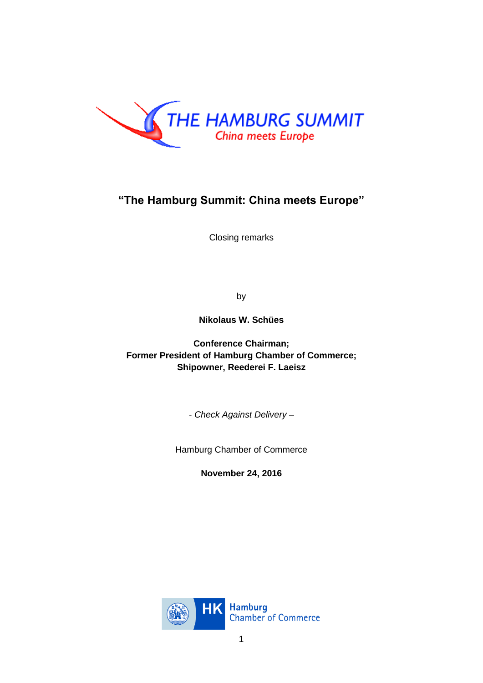

# **"The Hamburg Summit: China meets Europe"**

Closing remarks

by

**Nikolaus W. Schües**

**Conference Chairman; Former President of Hamburg Chamber of Commerce; Shipowner, Reederei F. Laeisz**

*- Check Against Delivery –*

Hamburg Chamber of Commerce

**November 24, 2016**

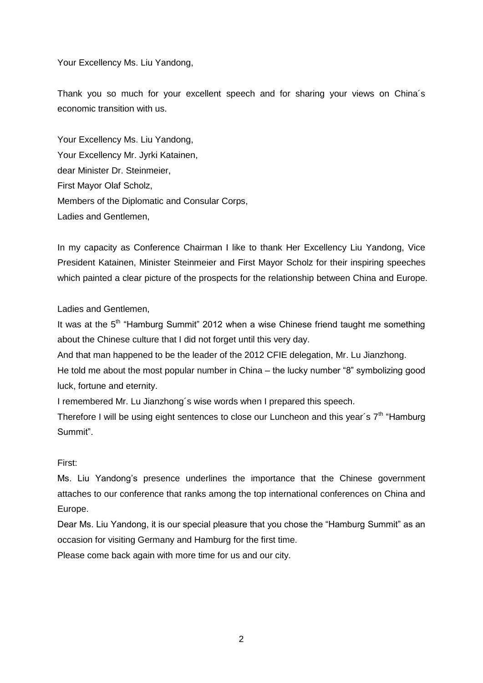Your Excellency Ms. Liu Yandong,

Thank you so much for your excellent speech and for sharing your views on China´s economic transition with us.

Your Excellency Ms. Liu Yandong, Your Excellency Mr. Jyrki Katainen, dear Minister Dr. Steinmeier, First Mayor Olaf Scholz, Members of the Diplomatic and Consular Corps, Ladies and Gentlemen,

In my capacity as Conference Chairman I like to thank Her Excellency Liu Yandong, Vice President Katainen, Minister Steinmeier and First Mayor Scholz for their inspiring speeches which painted a clear picture of the prospects for the relationship between China and Europe.

Ladies and Gentlemen,

It was at the 5<sup>th</sup> "Hamburg Summit" 2012 when a wise Chinese friend taught me something about the Chinese culture that I did not forget until this very day.

And that man happened to be the leader of the 2012 CFIE delegation, Mr. Lu Jianzhong.

He told me about the most popular number in China – the lucky number "8" symbolizing good luck, fortune and eternity.

I remembered Mr. Lu Jianzhong´s wise words when I prepared this speech.

Therefore I will be using eight sentences to close our Luncheon and this year's  $7<sup>th</sup>$  "Hamburg" Summit".

First:

Ms. Liu Yandong's presence underlines the importance that the Chinese government attaches to our conference that ranks among the top international conferences on China and Europe.

Dear Ms. Liu Yandong, it is our special pleasure that you chose the "Hamburg Summit" as an occasion for visiting Germany and Hamburg for the first time.

Please come back again with more time for us and our city.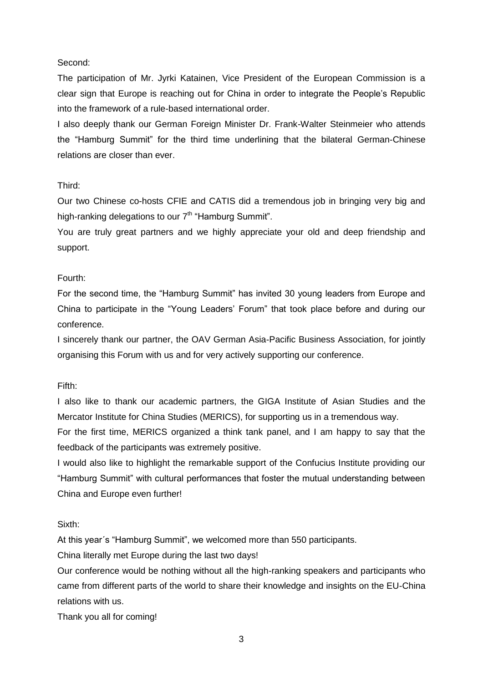## Second:

The participation of Mr. Jyrki Katainen, Vice President of the European Commission is a clear sign that Europe is reaching out for China in order to integrate the People's Republic into the framework of a rule-based international order.

I also deeply thank our German Foreign Minister Dr. Frank-Walter Steinmeier who attends the "Hamburg Summit" for the third time underlining that the bilateral German-Chinese relations are closer than ever.

## Third:

Our two Chinese co-hosts CFIE and CATIS did a tremendous job in bringing very big and high-ranking delegations to our  $7<sup>th</sup>$  "Hamburg Summit".

You are truly great partners and we highly appreciate your old and deep friendship and support.

## Fourth:

For the second time, the "Hamburg Summit" has invited 30 young leaders from Europe and China to participate in the "Young Leaders' Forum" that took place before and during our conference.

I sincerely thank our partner, the OAV German Asia-Pacific Business Association, for jointly organising this Forum with us and for very actively supporting our conference.

#### Fifth:

I also like to thank our academic partners, the GIGA Institute of Asian Studies and the Mercator Institute for China Studies (MERICS), for supporting us in a tremendous way.

For the first time, MERICS organized a think tank panel, and I am happy to say that the feedback of the participants was extremely positive.

I would also like to highlight the remarkable support of the Confucius Institute providing our "Hamburg Summit" with cultural performances that foster the mutual understanding between China and Europe even further!

Sixth:

At this year´s "Hamburg Summit", we welcomed more than 550 participants.

China literally met Europe during the last two days!

Our conference would be nothing without all the high-ranking speakers and participants who came from different parts of the world to share their knowledge and insights on the EU-China relations with us.

Thank you all for coming!